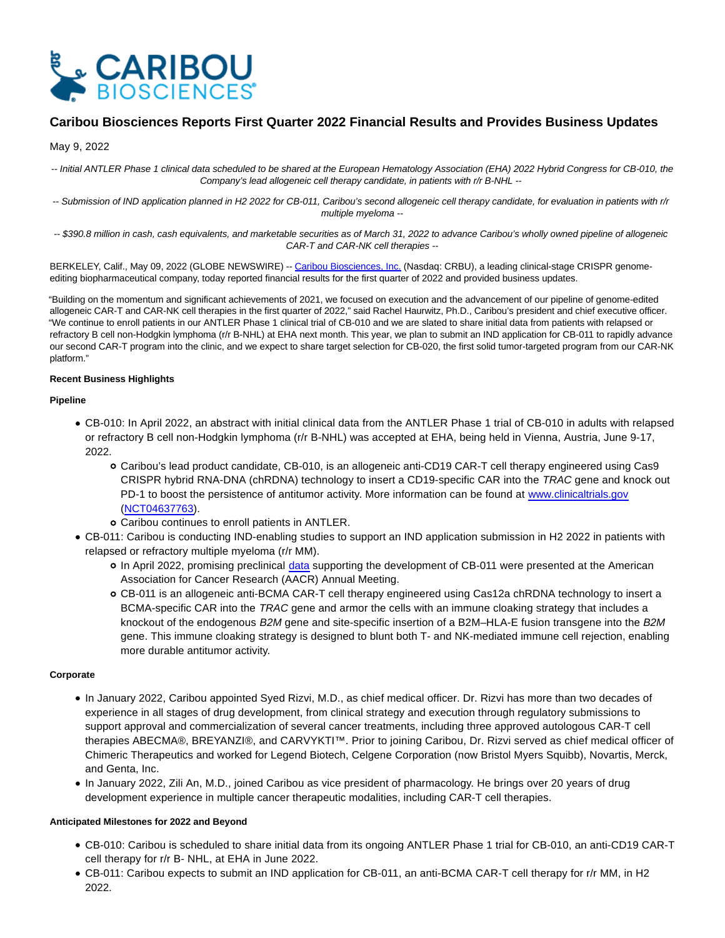

# **Caribou Biosciences Reports First Quarter 2022 Financial Results and Provides Business Updates**

# May 9, 2022

-- Initial ANTLER Phase 1 clinical data scheduled to be shared at the European Hematology Association (EHA) 2022 Hybrid Congress for CB-010, the Company's lead allogeneic cell therapy candidate, in patients with r/r B-NHL --

-- Submission of IND application planned in H2 2022 for CB-011, Caribou's second allogeneic cell therapy candidate, for evaluation in patients with r/r multiple myeloma --

-- \$390.8 million in cash, cash equivalents, and marketable securities as of March 31, 2022 to advance Caribou's wholly owned pipeline of allogeneic CAR-T and CAR-NK cell therapies --

BERKELEY, Calif., May 09, 2022 (GLOBE NEWSWIRE) -[- Caribou Biosciences, Inc. \(](https://www.globenewswire.com/Tracker?data=FxD_jwtDfOGLutyewgSiOteGV8DMWtyAapxSlgSKaZgGy6ZiBR3jqvbTqPK9SoHVcfPlDbYkMrrwdYE_tM0qDMJ4_EczJsYsFl41zKMwkOY=)Nasdaq: CRBU), a leading clinical-stage CRISPR genomeediting biopharmaceutical company, today reported financial results for the first quarter of 2022 and provided business updates.

"Building on the momentum and significant achievements of 2021, we focused on execution and the advancement of our pipeline of genome-edited allogeneic CAR-T and CAR-NK cell therapies in the first quarter of 2022," said Rachel Haurwitz, Ph.D., Caribou's president and chief executive officer. "We continue to enroll patients in our ANTLER Phase 1 clinical trial of CB-010 and we are slated to share initial data from patients with relapsed or refractory B cell non-Hodgkin lymphoma (r/r B-NHL) at EHA next month. This year, we plan to submit an IND application for CB-011 to rapidly advance our second CAR-T program into the clinic, and we expect to share target selection for CB-020, the first solid tumor-targeted program from our CAR-NK platform."

## **Recent Business Highlights**

## **Pipeline**

- CB-010: In April 2022, an abstract with initial clinical data from the ANTLER Phase 1 trial of CB-010 in adults with relapsed or refractory B cell non-Hodgkin lymphoma (r/r B-NHL) was accepted at EHA, being held in Vienna, Austria, June 9-17, 2022.
	- Caribou's lead product candidate, CB-010, is an allogeneic anti-CD19 CAR-T cell therapy engineered using Cas9 CRISPR hybrid RNA-DNA (chRDNA) technology to insert a CD19-specific CAR into the TRAC gene and knock out PD-1 to boost the persistence of antitumor activity. More information can be found at [www.clinicaltrials.gov](http://www.clinicaltrials.gov/) [\(NCT04637763\)](https://clinicaltrials.gov/ct2/results?cond=&term=NCT04637763&cntry=&state=&city=&dist=).
	- Caribou continues to enroll patients in ANTLER.
- CB-011: Caribou is conducting IND-enabling studies to support an IND application submission in H2 2022 in patients with relapsed or refractory multiple myeloma (r/r MM).
	- In April 2022, promising preclinical [data](https://investor.cariboubio.com/static-files/9aede754-7c35-44fc-90fb-223616416089) supporting the development of CB-011 were presented at the American Association for Cancer Research (AACR) Annual Meeting.
	- CB-011 is an allogeneic anti-BCMA CAR-T cell therapy engineered using Cas12a chRDNA technology to insert a BCMA-specific CAR into the TRAC gene and armor the cells with an immune cloaking strategy that includes a knockout of the endogenous B2M gene and site-specific insertion of a B2M-HLA-E fusion transgene into the B2M gene. This immune cloaking strategy is designed to blunt both T- and NK-mediated immune cell rejection, enabling more durable antitumor activity.

# **Corporate**

- In January 2022, Caribou appointed Syed Rizvi, M.D., as chief medical officer. Dr. Rizvi has more than two decades of experience in all stages of drug development, from clinical strategy and execution through regulatory submissions to support approval and commercialization of several cancer treatments, including three approved autologous CAR-T cell therapies ABECMA®, BREYANZI®, and CARVYKTI™. Prior to joining Caribou, Dr. Rizvi served as chief medical officer of Chimeric Therapeutics and worked for Legend Biotech, Celgene Corporation (now Bristol Myers Squibb), Novartis, Merck, and Genta, Inc.
- In January 2022, Zili An, M.D., joined Caribou as vice president of pharmacology. He brings over 20 years of drug development experience in multiple cancer therapeutic modalities, including CAR-T cell therapies.

#### **Anticipated Milestones for 2022 and Beyond**

- CB-010: Caribou is scheduled to share initial data from its ongoing ANTLER Phase 1 trial for CB-010, an anti-CD19 CAR-T cell therapy for r/r B- NHL, at EHA in June 2022.
- CB-011: Caribou expects to submit an IND application for CB-011, an anti-BCMA CAR-T cell therapy for r/r MM, in H2 2022.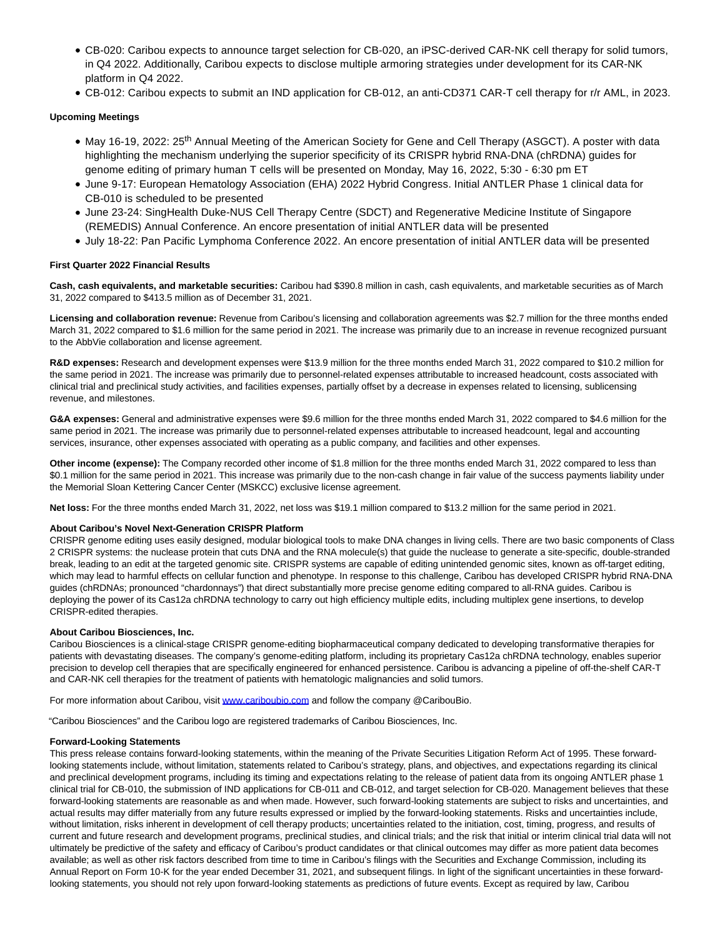- CB-020: Caribou expects to announce target selection for CB-020, an iPSC-derived CAR-NK cell therapy for solid tumors, in Q4 2022. Additionally, Caribou expects to disclose multiple armoring strategies under development for its CAR-NK platform in Q4 2022.
- CB-012: Caribou expects to submit an IND application for CB-012, an anti-CD371 CAR-T cell therapy for r/r AML, in 2023.

# **Upcoming Meetings**

- May 16-19, 2022: 25<sup>th</sup> Annual Meeting of the American Society for Gene and Cell Therapy (ASGCT). A poster with data highlighting the mechanism underlying the superior specificity of its CRISPR hybrid RNA-DNA (chRDNA) guides for genome editing of primary human T cells will be presented on Monday, May 16, 2022, 5:30 - 6:30 pm ET
- June 9-17: European Hematology Association (EHA) 2022 Hybrid Congress. Initial ANTLER Phase 1 clinical data for CB-010 is scheduled to be presented
- June 23-24: SingHealth Duke-NUS Cell Therapy Centre (SDCT) and Regenerative Medicine Institute of Singapore (REMEDIS) Annual Conference. An encore presentation of initial ANTLER data will be presented
- July 18-22: Pan Pacific Lymphoma Conference 2022. An encore presentation of initial ANTLER data will be presented

#### **First Quarter 2022 Financial Results**

**Cash, cash equivalents, and marketable securities:** Caribou had \$390.8 million in cash, cash equivalents, and marketable securities as of March 31, 2022 compared to \$413.5 million as of December 31, 2021.

**Licensing and collaboration revenue:** Revenue from Caribou's licensing and collaboration agreements was \$2.7 million for the three months ended March 31, 2022 compared to \$1.6 million for the same period in 2021. The increase was primarily due to an increase in revenue recognized pursuant to the AbbVie collaboration and license agreement.

**R&D expenses:** Research and development expenses were \$13.9 million for the three months ended March 31, 2022 compared to \$10.2 million for the same period in 2021. The increase was primarily due to personnel-related expenses attributable to increased headcount, costs associated with clinical trial and preclinical study activities, and facilities expenses, partially offset by a decrease in expenses related to licensing, sublicensing revenue, and milestones.

**G&A expenses:** General and administrative expenses were \$9.6 million for the three months ended March 31, 2022 compared to \$4.6 million for the same period in 2021. The increase was primarily due to personnel-related expenses attributable to increased headcount, legal and accounting services, insurance, other expenses associated with operating as a public company, and facilities and other expenses.

**Other income (expense):** The Company recorded other income of \$1.8 million for the three months ended March 31, 2022 compared to less than \$0.1 million for the same period in 2021. This increase was primarily due to the non-cash change in fair value of the success payments liability under the Memorial Sloan Kettering Cancer Center (MSKCC) exclusive license agreement.

**Net loss:** For the three months ended March 31, 2022, net loss was \$19.1 million compared to \$13.2 million for the same period in 2021.

#### **About Caribou's Novel Next-Generation CRISPR Platform**

CRISPR genome editing uses easily designed, modular biological tools to make DNA changes in living cells. There are two basic components of Class 2 CRISPR systems: the nuclease protein that cuts DNA and the RNA molecule(s) that guide the nuclease to generate a site-specific, double-stranded break, leading to an edit at the targeted genomic site. CRISPR systems are capable of editing unintended genomic sites, known as off-target editing, which may lead to harmful effects on cellular function and phenotype. In response to this challenge, Caribou has developed CRISPR hybrid RNA-DNA guides (chRDNAs; pronounced "chardonnays") that direct substantially more precise genome editing compared to all-RNA guides. Caribou is deploying the power of its Cas12a chRDNA technology to carry out high efficiency multiple edits, including multiplex gene insertions, to develop CRISPR-edited therapies.

#### **About Caribou Biosciences, Inc.**

Caribou Biosciences is a clinical-stage CRISPR genome-editing biopharmaceutical company dedicated to developing transformative therapies for patients with devastating diseases. The company's genome-editing platform, including its proprietary Cas12a chRDNA technology, enables superior precision to develop cell therapies that are specifically engineered for enhanced persistence. Caribou is advancing a pipeline of off-the-shelf CAR-T and CAR-NK cell therapies for the treatment of patients with hematologic malignancies and solid tumors.

For more information about Caribou, visit [www.cariboubio.com a](https://www.globenewswire.com/Tracker?data=m5gVeWPT2IOzmjhaUVoZcCctE1bHHVtdYqFb6LGOggCuOhiLrbpDSt0XStdUarYAW9Z3rClc1TqW4j4yfIt_GiOzu9blZCrwTUQfc-L5OsI=)nd follow the company @CaribouBio.

"Caribou Biosciences" and the Caribou logo are registered trademarks of Caribou Biosciences, Inc.

#### **Forward-Looking Statements**

This press release contains forward-looking statements, within the meaning of the Private Securities Litigation Reform Act of 1995. These forwardlooking statements include, without limitation, statements related to Caribou's strategy, plans, and objectives, and expectations regarding its clinical and preclinical development programs, including its timing and expectations relating to the release of patient data from its ongoing ANTLER phase 1 clinical trial for CB-010, the submission of IND applications for CB-011 and CB-012, and target selection for CB-020. Management believes that these forward-looking statements are reasonable as and when made. However, such forward-looking statements are subject to risks and uncertainties, and actual results may differ materially from any future results expressed or implied by the forward-looking statements. Risks and uncertainties include, without limitation, risks inherent in development of cell therapy products; uncertainties related to the initiation, cost, timing, progress, and results of current and future research and development programs, preclinical studies, and clinical trials; and the risk that initial or interim clinical trial data will not ultimately be predictive of the safety and efficacy of Caribou's product candidates or that clinical outcomes may differ as more patient data becomes available; as well as other risk factors described from time to time in Caribou's filings with the Securities and Exchange Commission, including its Annual Report on Form 10-K for the year ended December 31, 2021, and subsequent filings. In light of the significant uncertainties in these forwardlooking statements, you should not rely upon forward-looking statements as predictions of future events. Except as required by law, Caribou